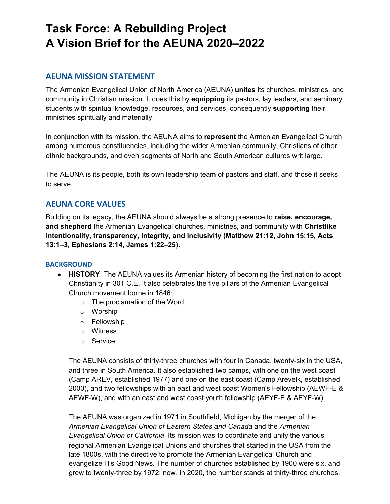# **Task Force: A Rebuilding Project A Vision Brief for the AEUNA 2020–2022**

## **AEUNA MISSION STATEMENT**

The Armenian Evangelical Union of North America (AEUNA) **unites** its churches, ministries, and community in Christian mission. It does this by **equipping** its pastors, lay leaders, and seminary students with spiritual knowledge, resources, and services, consequently **supporting** their ministries spiritually and materially.

In conjunction with its mission, the AEUNA aims to **represent** the Armenian Evangelical Church among numerous constituencies, including the wider Armenian community, Christians of other ethnic backgrounds, and even segments of North and South American cultures writ large.

The AEUNA is its people, both its own leadership team of pastors and staff, and those it seeks to serve.

## **AEUNA CORE VALUES**

Building on its legacy, the AEUNA should always be a strong presence to **raise, encourage, and shepherd** the Armenian Evangelical churches, ministries, and community with **Christlike intentionality, transparency, integrity, and inclusivity (Matthew 21:12, John 15:15, Acts 13:1–3, Ephesians 2:14, James 1:22–25).**

#### **BACKGROUND**

- **HISTORY**: The AEUNA values its Armenian history of becoming the first nation to adopt Christianity in 301 C.E. It also celebrates the five pillars of the Armenian Evangelical Church movement borne in 1846:
	- $\circ$  The proclamation of the Word
	- o Worship
	- o Fellowship
	- o Witness
	- o Service

The AEUNA consists of thirty-three churches with four in Canada, twenty-six in the USA, and three in South America. It also established two camps, with one on the west coast (Camp AREV, established 1977) and one on the east coast (Camp Arevelk, established 2000), and two fellowships with an east and west coast Women's Fellowship (AEWF-E & AEWF-W), and with an east and west coast youth fellowship (AEYF-E & AEYF-W).

The AEUNA was organized in 1971 in Southfield, Michigan by the merger of the *Armenian Evangelical Union of Eastern States and Canada* and the *Armenian Evangelical Union of California*. Its mission was to coordinate and unify the various regional Armenian Evangelical Unions and churches that started in the USA from the late 1800s, with the directive to promote the Armenian Evangelical Church and evangelize His Good News. The number of churches established by 1900 were six, and grew to twenty-three by 1972; now, in 2020, the number stands at thirty-three churches.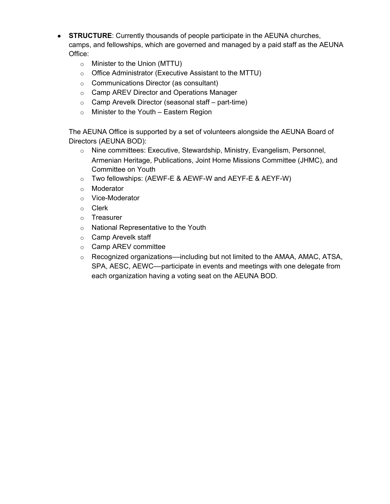- **STRUCTURE:** Currently thousands of people participate in the AEUNA churches, camps, and fellowships, which are governed and managed by a paid staff as the AEUNA Office:
	- o Minister to the Union (MTTU)
	- o Office Administrator (Executive Assistant to the MTTU)
	- o Communications Director (as consultant)
	- o Camp AREV Director and Operations Manager
	- o Camp Arevelk Director (seasonal staff part-time)
	- $\circ$  Minister to the Youth Eastern Region

The AEUNA Office is supported by a set of volunteers alongside the AEUNA Board of Directors (AEUNA BOD):

- o Nine committees: Executive, Stewardship, Ministry, Evangelism, Personnel, Armenian Heritage, Publications, Joint Home Missions Committee (JHMC), and Committee on Youth
- $\circ$  Two fellowships: (AEWF-E & AEWF-W and AEYF-E & AEYF-W)
- o Moderator
- o Vice-Moderator
- o Clerk
- o Treasurer
- o National Representative to the Youth
- o Camp Arevelk staff
- o Camp AREV committee
- $\circ$  Recognized organizations—including but not limited to the AMAA, AMAC, ATSA, SPA, AESC, AEWC––participate in events and meetings with one delegate from each organization having a voting seat on the AEUNA BOD.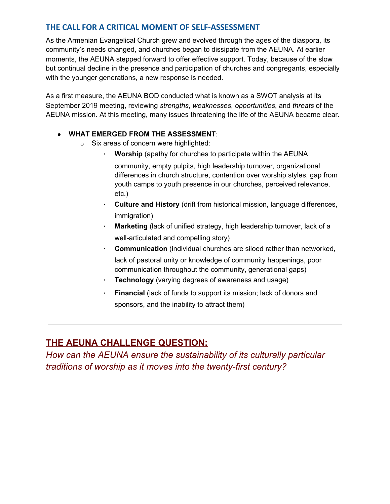## **THE CALL FOR A CRITICAL MOMENT OF SELF-ASSESSMENT**

As the Armenian Evangelical Church grew and evolved through the ages of the diaspora, its community's needs changed, and churches began to dissipate from the AEUNA. At earlier moments, the AEUNA stepped forward to offer effective support. Today, because of the slow but continual decline in the presence and participation of churches and congregants, especially with the younger generations, a new response is needed.

As a first measure, the AEUNA BOD conducted what is known as a SWOT analysis at its September 2019 meeting, reviewing *strengths*, *weaknesses*, *opportunities*, and *threats* of the AEUNA mission. At this meeting, many issues threatening the life of the AEUNA became clear.

#### ● **WHAT EMERGED FROM THE ASSESSMENT**:

- o Six areas of concern were highlighted:
	- **Worship** (apathy for churches to participate within the AEUNA
		- community, empty pulpits, high leadership turnover, organizational differences in church structure, contention over worship styles, gap from youth camps to youth presence in our churches, perceived relevance, etc.)
	- **Culture and History** (drift from historical mission, language differences, immigration)
	- **Marketing** (lack of unified strategy, high leadership turnover, lack of a well-articulated and compelling story)
	- **Communication** (individual churches are siloed rather than networked, lack of pastoral unity or knowledge of community happenings, poor communication throughout the community, generational gaps)
	- **Technology** (varying degrees of awareness and usage)
	- **Financial** (lack of funds to support its mission; lack of donors and sponsors, and the inability to attract them)

## **THE AEUNA CHALLENGE QUESTION:**

*How can the AEUNA ensure the sustainability of its culturally particular traditions of worship as it moves into the twenty-first century?*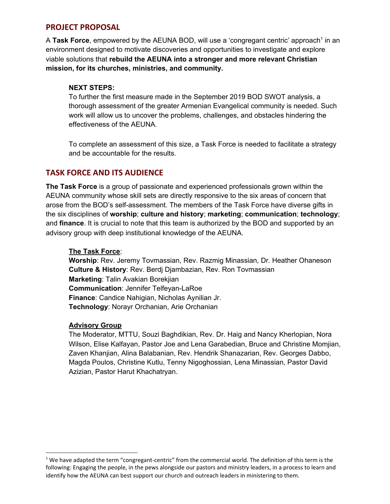## **PROJECT PROPOSAL**

A Task Force, empowered by the AEUNA BOD, will use a 'congregant centric' approach<sup>1</sup> in an environment designed to motivate discoveries and opportunities to investigate and explore viable solutions that **rebuild the AEUNA into a stronger and more relevant Christian mission, for its churches, ministries, and community.**

## **NEXT STEPS:**

To further the first measure made in the September 2019 BOD SWOT analysis, a thorough assessment of the greater Armenian Evangelical community is needed. Such work will allow us to uncover the problems, challenges, and obstacles hindering the effectiveness of the AEUNA.

To complete an assessment of this size, a Task Force is needed to facilitate a strategy and be accountable for the results.

## **TASK FORCE AND ITS AUDIENCE**

**The Task Force** is a group of passionate and experienced professionals grown within the AEUNA community whose skill sets are directly responsive to the six areas of concern that arose from the BOD's self-assessment. The members of the Task Force have diverse gifts in the six disciplines of **worship**; **culture and history**; **marketing**; **communication**; **technology**; and **finance**. It is crucial to note that this team is authorized by the BOD and supported by an advisory group with deep institutional knowledge of the AEUNA.

#### **The Task Force**:

**Worship**: Rev. Jeremy Tovmassian, Rev. Razmig Minassian, Dr. Heather Ohaneson **Culture & History**: Rev. Berdj Djambazian, Rev. Ron Tovmassian **Marketing**: Talin Avakian Borekjian **Communication**: Jennifer Telfeyan-LaRoe **Finance**: Candice Nahigian, Nicholas Aynilian Jr. **Technology**: Norayr Orchanian, Arie Orchanian

#### **Advisory Group**

The Moderator, MTTU, Souzi Baghdikian, Rev. Dr. Haig and Nancy Kherlopian, Nora Wilson, Elise Kalfayan, Pastor Joe and Lena Garabedian, Bruce and Christine Momjian, Zaven Khanjian, Alina Balabanian, Rev. Hendrik Shanazarian, Rev. Georges Dabbo, Magda Poulos, Christine Kutlu, Tenny Nigoghossian, Lena Minassian, Pastor David Azizian, Pastor Harut Khachatryan.

 $1$  We have adapted the term "congregant-centric" from the commercial world. The definition of this term is the following: Engaging the people, in the pews alongside our pastors and ministry leaders, in a process to learn and identify how the AEUNA can best support our church and outreach leaders in ministering to them.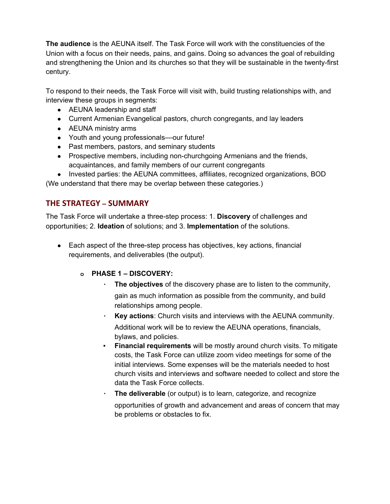**The audience** is the AEUNA itself. The Task Force will work with the constituencies of the Union with a focus on their needs, pains, and gains. Doing so advances the goal of rebuilding and strengthening the Union and its churches so that they will be sustainable in the twenty-first century.

To respond to their needs, the Task Force will visit with, build trusting relationships with, and interview these groups in segments:

- AEUNA leadership and staff
- Current Armenian Evangelical pastors, church congregants, and lay leaders
- AEUNA ministry arms
- Youth and young professionals––our future!
- Past members, pastors, and seminary students
- Prospective members, including non-churchgoing Armenians and the friends, acquaintances, and family members of our current congregants
- Invested parties: the AEUNA committees, affiliates, recognized organizations, BOD (We understand that there may be overlap between these categories.)

## **THE STRATEGY – SUMMARY**

The Task Force will undertake a three-step process: 1. **Discovery** of challenges and opportunities; 2. **Ideation** of solutions; and 3. **Implementation** of the solutions.

● Each aspect of the three-step process has objectives, key actions, financial requirements, and deliverables (the output).

#### **o PHASE 1 – DISCOVERY:**

- **The objectives** of the discovery phase are to listen to the community, gain as much information as possible from the community, and build relationships among people.
- **Key actions:** Church visits and interviews with the AEUNA community. Additional work will be to review the AEUNA operations, financials, bylaws, and policies.
- **Financial requirements** will be mostly around church visits. To mitigate costs, the Task Force can utilize zoom video meetings for some of the initial interviews. Some expenses will be the materials needed to host church visits and interviews and software needed to collect and store the data the Task Force collects.
- **The deliverable** (or output) is to learn, categorize, and recognize opportunities of growth and advancement and areas of concern that may be problems or obstacles to fix.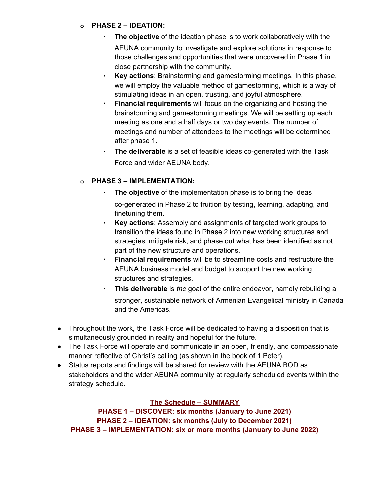#### **o PHASE 2 – IDEATION:**

- **The objective** of the ideation phase is to work collaboratively with the AEUNA community to investigate and explore solutions in response to those challenges and opportunities that were uncovered in Phase 1 in close partnership with the community.
- **Key actions**: Brainstorming and gamestorming meetings. In this phase, we will employ the valuable method of gamestorming, which is a way of stimulating ideas in an open, trusting, and joyful atmosphere.
- **Financial requirements** will focus on the organizing and hosting the brainstorming and gamestorming meetings. We will be setting up each meeting as one and a half days or two day events. The number of meetings and number of attendees to the meetings will be determined after phase 1.
- **The deliverable** is a set of feasible ideas co-generated with the Task Force and wider AEUNA body.

## **o PHASE 3 – IMPLEMENTATION:**

- The **objective** of the implementation phase is to bring the ideas co-generated in Phase 2 to fruition by testing, learning, adapting, and finetuning them.
- **Key actions:** Assembly and assignments of targeted work groups to transition the ideas found in Phase 2 into new working structures and strategies, mitigate risk, and phase out what has been identified as not part of the new structure and operations.
- **Financial requirements** will be to streamline costs and restructure the AEUNA business model and budget to support the new working structures and strategies.
- **This deliverable** is *the* goal of the entire endeavor, namely rebuilding a stronger, sustainable network of Armenian Evangelical ministry in Canada and the Americas.
- Throughout the work, the Task Force will be dedicated to having a disposition that is simultaneously grounded in reality and hopeful for the future.
- The Task Force will operate and communicate in an open, friendly, and compassionate manner reflective of Christ's calling (as shown in the book of 1 Peter).
- Status reports and findings will be shared for review with the AEUNA BOD as stakeholders and the wider AEUNA community at regularly scheduled events within the strategy schedule.

#### **The Schedule – SUMMARY**

**PHASE 1 – DISCOVER: six months (January to June 2021) PHASE 2 – IDEATION: six months (July to December 2021) PHASE 3 – IMPLEMENTATION: six or more months (January to June 2022)**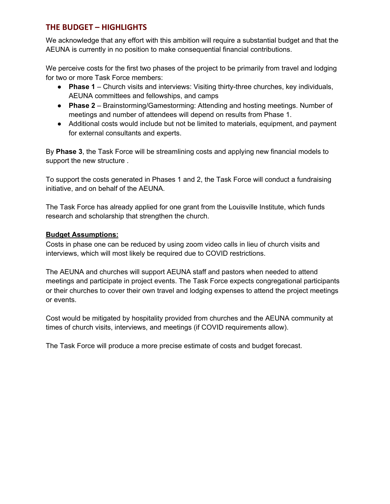## **THE BUDGET – HIGHLIGHTS**

We acknowledge that any effort with this ambition will require a substantial budget and that the AEUNA is currently in no position to make consequential financial contributions.

We perceive costs for the first two phases of the project to be primarily from travel and lodging for two or more Task Force members:

- **Phase 1** Church visits and interviews: Visiting thirty-three churches, key individuals, AEUNA committees and fellowships, and camps
- **Phase 2** Brainstorming/Gamestorming: Attending and hosting meetings. Number of meetings and number of attendees will depend on results from Phase 1.
- Additional costs would include but not be limited to materials, equipment, and payment for external consultants and experts.

By **Phase 3**, the Task Force will be streamlining costs and applying new financial models to support the new structure .

To support the costs generated in Phases 1 and 2, the Task Force will conduct a fundraising initiative, and on behalf of the AEUNA.

The Task Force has already applied for one grant from the Louisville Institute, which funds research and scholarship that strengthen the church.

#### **Budget Assumptions:**

Costs in phase one can be reduced by using zoom video calls in lieu of church visits and interviews, which will most likely be required due to COVID restrictions.

The AEUNA and churches will support AEUNA staff and pastors when needed to attend meetings and participate in project events. The Task Force expects congregational participants or their churches to cover their own travel and lodging expenses to attend the project meetings or events.

Cost would be mitigated by hospitality provided from churches and the AEUNA community at times of church visits, interviews, and meetings (if COVID requirements allow).

The Task Force will produce a more precise estimate of costs and budget forecast.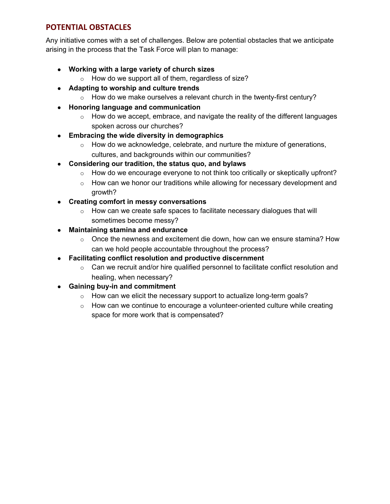## **POTENTIAL OBSTACLES**

Any initiative comes with a set of challenges. Below are potential obstacles that we anticipate arising in the process that the Task Force will plan to manage:

- **● Working with a large variety of church sizes**
	- $\circ$  How do we support all of them, regardless of size?
- **● Adapting to worship and culture trends**
	- $\circ$  How do we make ourselves a relevant church in the twenty-first century?
- **● Honoring language and communication**
	- $\circ$  How do we accept, embrace, and navigate the reality of the different languages spoken across our churches?
- **● Embracing the wide diversity in demographics**
	- $\circ$  How do we acknowledge, celebrate, and nurture the mixture of generations, cultures, and backgrounds within our communities?
- **● Considering our tradition, the status quo, and bylaws**
	- $\circ$  How do we encourage everyone to not think too critically or skeptically upfront?
	- $\circ$  How can we honor our traditions while allowing for necessary development and growth?
- **● Creating comfort in messy conversations**
	- o How can we create safe spaces to facilitate necessary dialogues that will sometimes become messy?
- **● Maintaining stamina and endurance**
	- $\circ$  Once the newness and excitement die down, how can we ensure stamina? How can we hold people accountable throughout the process?
- **● Facilitating conflict resolution and productive discernment**
	- $\circ$  Can we recruit and/or hire qualified personnel to facilitate conflict resolution and healing, when necessary?
- **● Gaining buy-in and commitment**
	- $\circ$  How can we elicit the necessary support to actualize long-term goals?
	- $\circ$  How can we continue to encourage a volunteer-oriented culture while creating space for more work that is compensated?